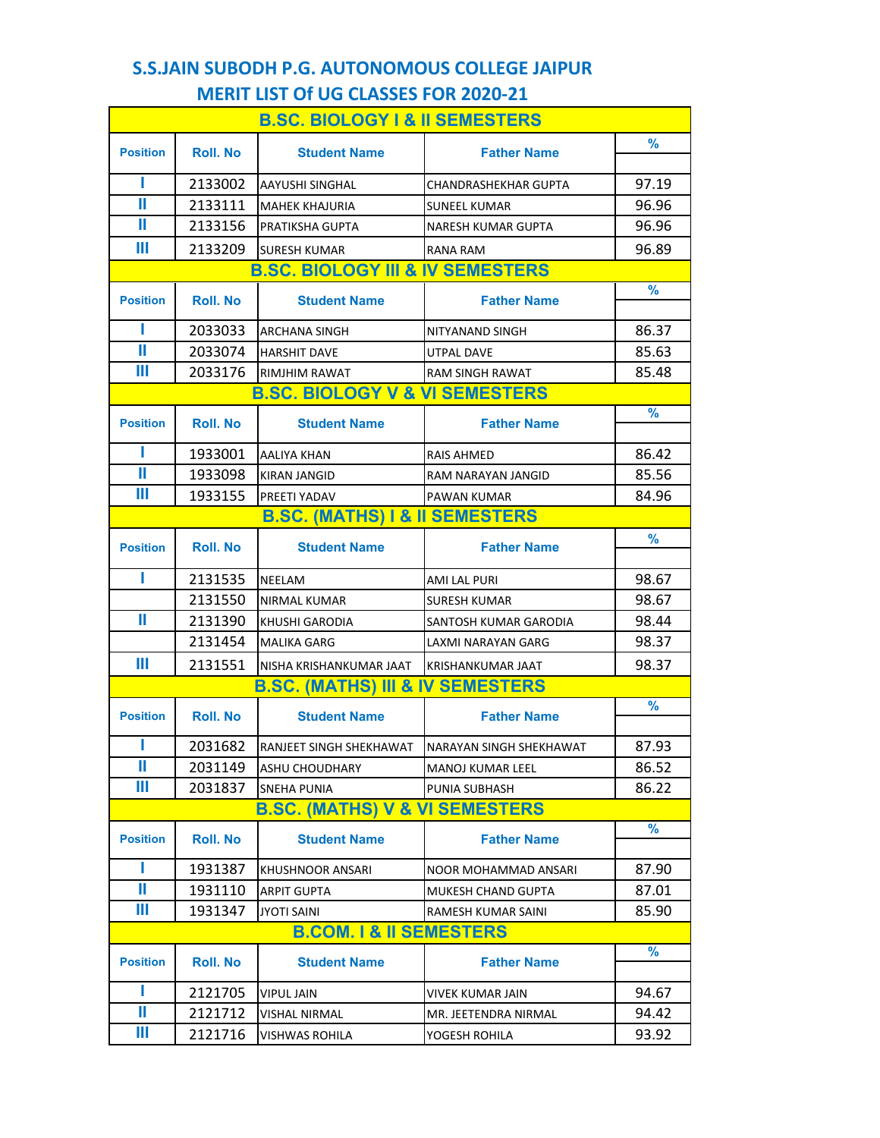#### **S.S.JAIN SUBODH P.G. AUTONOMOUS COLLEGE JAIPUR MERIT LIST Of UG CLASSES FOR 2020-21**

| <b>B.SC. BIOLOGY I &amp; II SEMESTERS</b> |                  |                                             |                                |               |
|-------------------------------------------|------------------|---------------------------------------------|--------------------------------|---------------|
| <b>Position</b>                           | <b>Roll</b> . No | <b>Student Name</b>                         | <b>Father Name</b>             | %             |
|                                           |                  |                                             |                                |               |
| ı                                         | 2133002          | AAYUSHI SINGHAL                             | CHANDRASHEKHAR GUPTA           | 97.19         |
| Ш                                         | 2133111          | <b>MAHEK KHAJURIA</b>                       | <b>SUNEEL KUMAR</b>            | 96.96         |
| Ш                                         | 2133156          | PRATIKSHA GUPTA                             | NARESH KUMAR GUPTA             | 96.96         |
| Ш                                         | 2133209          | <b>SURESH KUMAR</b>                         | RANA RAM                       | 96.89         |
|                                           |                  | <b>B.SC. BIOLOGY III &amp; IV SEMESTERS</b> |                                |               |
| <b>Position</b>                           | <b>Roll</b> . No | <b>Student Name</b>                         | <b>Father Name</b>             | $\%$          |
| Π                                         | 2033033          | ARCHANA SINGH                               | NITYANAND SINGH                | 86.37         |
| Ш                                         | 2033074          | <b>HARSHIT DAVE</b>                         | UTPAL DAVE                     | 85.63         |
| Ш                                         | 2033176          | RIMJHIM RAWAT                               | <b>RAM SINGH RAWAT</b>         | 85.48         |
|                                           |                  | <b>B.SC. BIOLOGY V &amp; VI SEMESTERS</b>   |                                |               |
| <b>Position</b>                           | <b>Roll</b> . No | <b>Student Name</b>                         | <b>Father Name</b>             | $\frac{9}{6}$ |
| П                                         | 1933001          | AALIYA KHAN                                 | <b>RAIS AHMED</b>              | 86.42         |
| Ш                                         | 1933098          | KIRAN JANGID                                | RAM NARAYAN JANGID             | 85.56         |
| Ш                                         | 1933155          | PREETI YADAV                                | <b>PAWAN KUMAR</b>             | 84.96         |
| <b>B.SC. (MATHS) I &amp; II SEMESTERS</b> |                  |                                             |                                |               |
| <b>Position</b>                           | <b>Roll. No</b>  | <b>Student Name</b>                         | <b>Father Name</b>             | $\%$          |
| ı                                         | 2131535          | NEELAM                                      | AMI LAL PURI                   | 98.67         |
|                                           | 2131550          | NIRMAL KUMAR                                | SURESH KUMAR                   | 98.67         |
| Ш                                         | 2131390          | KHUSHI GARODIA                              | SANTOSH KUMAR GARODIA          | 98.44         |
|                                           | 2131454          | MALIKA GARG                                 | LAXMI NARAYAN GARG             | 98.37         |
| Ш                                         | 2131551          | NISHA KRISHANKUMAR JAAT                     | <b>KRISHANKUMAR JAAT</b>       | 98.37         |
|                                           |                  | <b>B.SC. (MATHS) III &amp; IV SEMESTERS</b> |                                |               |
| <b>Position</b>                           | <b>Roll</b> . No | <b>Student Name</b>                         | <b>Father Name</b>             | $\frac{9}{6}$ |
|                                           | 2031682          | RANJEET SINGH SHEKHAWAT                     | <b>NARAYAN SINGH SHEKHAWAT</b> | 87.93         |
| Ш                                         | 2031149          | <b>ASHU CHOUDHARY</b>                       | <b>MANOJ KUMAR LEEL</b>        | 86.52         |
| Ш                                         | 2031837          | SNEHA PUNIA                                 | PUNIA SUBHASH                  | 86.22         |
|                                           |                  | <b>B.SC. (MATHS) V &amp; VI SEMESTERS</b>   |                                |               |
|                                           |                  |                                             |                                | %             |
| <b>Position</b>                           | <b>Roll. No</b>  | <b>Student Name</b>                         | <b>Father Name</b>             |               |
| П                                         | 1931387          | KHUSHNOOR ANSARI                            | NOOR MOHAMMAD ANSARI           | 87.90         |
| Ш                                         | 1931110          | ARPIT GUPTA                                 | <b>MUKESH CHAND GUPTA</b>      | 87.01         |
| Ш                                         | 1931347          | <b>JYOTI SAINI</b>                          | RAMESH KUMAR SAINI             | 85.90         |
|                                           |                  | <b>B.COM. I &amp; II SEMESTERS</b>          |                                |               |
| <b>Position</b>                           | <b>Roll</b> . No | <b>Student Name</b>                         | <b>Father Name</b>             | %             |
| ı                                         | 2121705          | <b>VIPUL JAIN</b>                           | VIVEK KUMAR JAIN               | 94.67         |
| Ш                                         | 2121712          | VISHAL NIRMAL                               | MR. JEETENDRA NIRMAL           | 94.42         |
| Ш                                         | 2121716          | VISHWAS ROHILA                              | YOGESH ROHILA                  | 93.92         |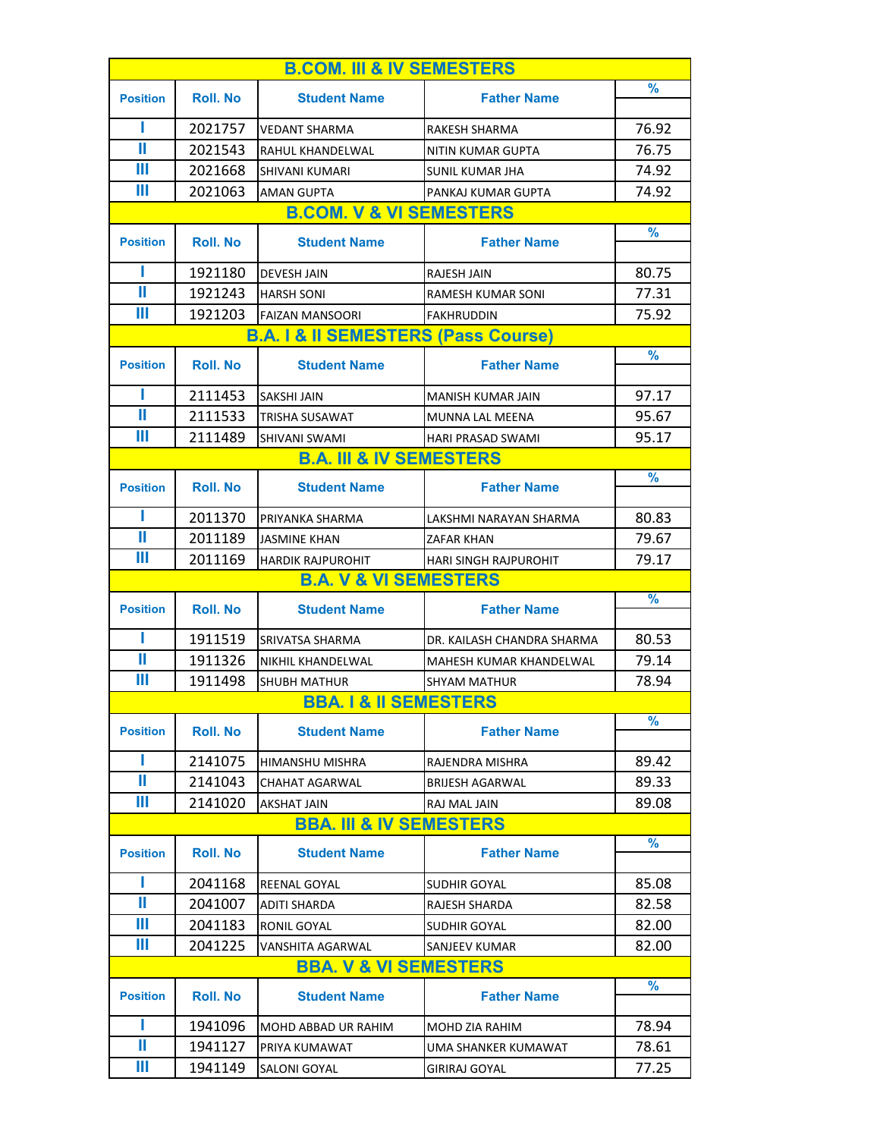| <b>B.COM. III &amp; IV SEMESTERS</b> |                  |                                                |                              |               |
|--------------------------------------|------------------|------------------------------------------------|------------------------------|---------------|
| <b>Position</b>                      | <b>Roll</b> . No | <b>Student Name</b>                            | <b>Father Name</b>           | $\frac{9}{6}$ |
|                                      |                  |                                                |                              |               |
| ı                                    | 2021757          | <b>VEDANT SHARMA</b>                           | RAKESH SHARMA                | 76.92         |
| Ш                                    | 2021543          | <b>RAHUL KHANDELWAL</b>                        | NITIN KUMAR GUPTA            | 76.75         |
| Ш                                    | 2021668          | <b>SHIVANI KUMARI</b>                          | SUNIL KUMAR JHA              | 74.92         |
| Ш                                    | 2021063          | <b>AMAN GUPTA</b>                              | PANKAJ KUMAR GUPTA           | 74.92         |
|                                      |                  | <b>B.COM. V &amp; VI SEMESTERS</b>             |                              |               |
| <b>Position</b>                      | <b>Roll. No</b>  | <b>Student Name</b>                            | <b>Father Name</b>           | $\frac{9}{6}$ |
| Ш                                    | 1921180          | <b>DEVESH JAIN</b>                             | RAJESH JAIN                  | 80.75         |
| Ш                                    | 1921243          | <b>HARSH SONI</b>                              | RAMESH KUMAR SONI            | 77.31         |
| Ш                                    | 1921203          | <b>FAIZAN MANSOORI</b>                         | <b>FAKHRUDDIN</b>            | 75.92         |
|                                      |                  | <b>B.A. I &amp; II SEMESTERS (Pass Course)</b> |                              |               |
| <b>Position</b>                      | <b>Roll. No</b>  | <b>Student Name</b>                            | <b>Father Name</b>           | $\frac{9}{6}$ |
| ı                                    | 2111453          | <b>SAKSHI JAIN</b>                             | MANISH KUMAR JAIN            | 97.17         |
| Ш                                    | 2111533          | <b>TRISHA SUSAWAT</b>                          | <b>MUNNA LAL MEENA</b>       | 95.67         |
| Ш                                    | 2111489          | SHIVANI SWAMI                                  | <b>HARI PRASAD SWAMI</b>     | 95.17         |
|                                      |                  | <b>B.A. III &amp; IV SEMESTERS</b>             |                              |               |
| <b>Position</b>                      | <b>Roll</b> . No | <b>Student Name</b>                            | <b>Father Name</b>           | $\frac{9}{6}$ |
| Ш                                    | 2011370          | PRIYANKA SHARMA                                | LAKSHMI NARAYAN SHARMA       | 80.83         |
| Ш                                    | 2011189          | <b>JASMINE KHAN</b>                            | ZAFAR KHAN                   | 79.67         |
| Ш                                    | 2011169          | <b>HARDIK RAJPUROHIT</b>                       | <b>HARI SINGH RAJPUROHIT</b> | 79.17         |
|                                      |                  | <b>B.A. V &amp; VI SEMESTERS</b>               |                              |               |
| <b>Position</b>                      | <b>Roll</b> . No | <b>Student Name</b>                            | <b>Father Name</b>           | $\frac{9}{6}$ |
| ш                                    | 1911519          | SRIVATSA SHARMA                                | DR. KAILASH CHANDRA SHARMA   | 80.53         |
| Ш                                    | 1911326          | NIKHIL KHANDELWAL                              | MAHESH KUMAR KHANDELWAL      | 79.14         |
| Ш                                    | 1911498          | <b>SHUBH MATHUR</b>                            | <b>SHYAM MATHUR</b>          | 78.94         |
|                                      |                  | <b>BBA. 1 &amp; II SEMESTERS</b>               |                              |               |
| <b>Position</b>                      | <b>Roll</b> . No | <b>Student Name</b>                            | <b>Father Name</b>           | $\frac{9}{6}$ |
| П                                    | 2141075          | HIMANSHU MISHRA                                | RAJENDRA MISHRA              | 89.42         |
| Ш                                    | 2141043          | CHAHAT AGARWAL                                 | <b>BRIJESH AGARWAL</b>       | 89.33         |
| Ш                                    | 2141020          | AKSHAT JAIN                                    | RAJ MAL JAIN                 | 89.08         |
|                                      |                  | <b>BBA. III &amp; IV SEMESTERS</b>             |                              |               |
| <b>Position</b>                      | <b>Roll</b> . No | <b>Student Name</b>                            | <b>Father Name</b>           | $\frac{9}{6}$ |
| П                                    | 2041168          | REENAL GOYAL                                   | SUDHIR GOYAL                 | 85.08         |
| Ш                                    | 2041007          | <b>ADITI SHARDA</b>                            | RAJESH SHARDA                | 82.58         |
| Ш                                    | 2041183          | RONIL GOYAL                                    | SUDHIR GOYAL                 | 82.00         |
| Ш                                    | 2041225          | VANSHITA AGARWAL                               | SANJEEV KUMAR                | 82.00         |
|                                      |                  | <b>BBA. V &amp; VI SEMESTERS</b>               |                              |               |
|                                      |                  |                                                |                              | %             |
| <b>Position</b>                      | <b>Roll</b> . No | <b>Student Name</b>                            | <b>Father Name</b>           |               |
| П                                    | 1941096          | MOHD ABBAD UR RAHIM                            | MOHD ZIA RAHIM               | 78.94         |
| Ш                                    |                  |                                                |                              | 78.61         |
|                                      | 1941127          | PRIYA KUMAWAT                                  | UMA SHANKER KUMAWAT          |               |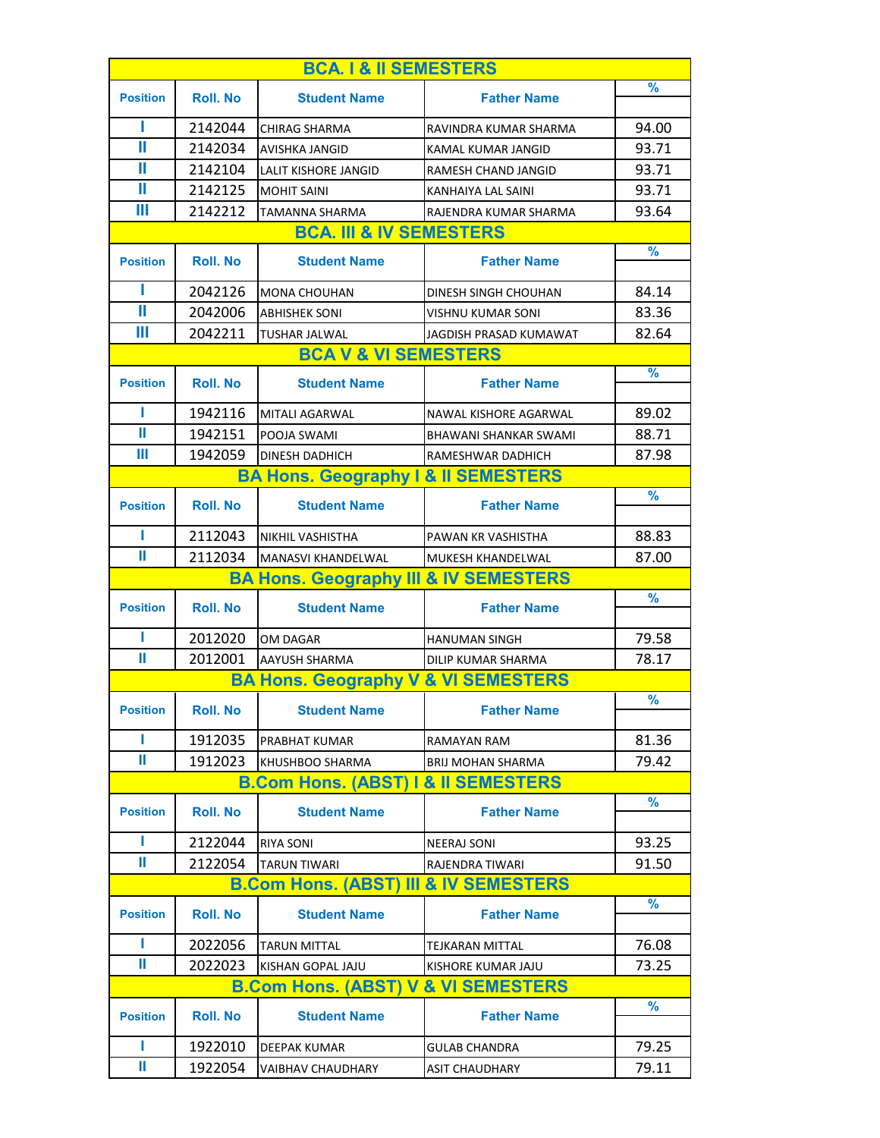| <b>BCA. 1 &amp; II SEMESTERS</b> |                                    |                                                  |                              |               |  |
|----------------------------------|------------------------------------|--------------------------------------------------|------------------------------|---------------|--|
| <b>Position</b>                  | <b>Roll. No</b>                    | <b>Student Name</b>                              | <b>Father Name</b>           | %             |  |
|                                  |                                    |                                                  |                              |               |  |
| ı                                | 2142044                            | <b>CHIRAG SHARMA</b>                             | RAVINDRA KUMAR SHARMA        | 94.00         |  |
| Ш                                | 2142034                            | AVISHKA JANGID                                   | KAMAL KUMAR JANGID           | 93.71         |  |
| Ш                                | 2142104                            | <b>LALIT KISHORE JANGID</b>                      | RAMESH CHAND JANGID          | 93.71         |  |
| Ш                                | 2142125                            | <b>MOHIT SAINI</b>                               | KANHAIYA LAL SAINI           | 93.71         |  |
| Ш                                | 2142212                            | TAMANNA SHARMA                                   | RAJENDRA KUMAR SHARMA        | 93.64         |  |
|                                  | <b>BCA. III &amp; IV SEMESTERS</b> |                                                  |                              |               |  |
| <b>Position</b>                  | <b>Roll</b> . No                   | <b>Student Name</b>                              | <b>Father Name</b>           | %             |  |
| ı                                | 2042126                            | <b>MONA CHOUHAN</b>                              | DINESH SINGH CHOUHAN         | 84.14         |  |
| Ш                                | 2042006                            | <b>ABHISHEK SONI</b>                             | VISHNU KUMAR SONI            | 83.36         |  |
| Ш                                | 2042211                            | <b>TUSHAR JALWAL</b>                             | JAGDISH PRASAD KUMAWAT       | 82.64         |  |
|                                  |                                    | <b>BCA V &amp; VI SEMESTERS</b>                  |                              |               |  |
| <b>Position</b>                  | <b>Roll. No</b>                    | <b>Student Name</b>                              | <b>Father Name</b>           | %             |  |
|                                  |                                    |                                                  |                              |               |  |
| ш                                | 1942116                            | <b>MITALI AGARWAL</b>                            | NAWAL KISHORE AGARWAL        | 89.02         |  |
| Ш                                | 1942151                            | POOJA SWAMI                                      | <b>BHAWANI SHANKAR SWAMI</b> | 88.71         |  |
| Ш                                | 1942059                            | <b>DINESH DADHICH</b>                            | RAMESHWAR DADHICH            | 87.98         |  |
|                                  |                                    | <b>BA Hons. Geography I &amp; II SEMESTERS</b>   |                              |               |  |
| <b>Position</b>                  | <b>Roll. No</b>                    | <b>Student Name</b>                              | <b>Father Name</b>           | $\frac{9}{6}$ |  |
|                                  |                                    |                                                  |                              |               |  |
| п                                | 2112043                            | <b>NIKHIL VASHISTHA</b>                          | PAWAN KR VASHISTHA           | 88.83         |  |
| Ш                                | 2112034                            | MANASVI KHANDELWAL                               | MUKESH KHANDELWAL            | 87.00         |  |
|                                  |                                    | <b>BA Hons. Geography III &amp; IV SEMESTERS</b> |                              |               |  |
| <b>Position</b>                  | <b>Roll. No</b>                    | <b>Student Name</b>                              | <b>Father Name</b>           | $\frac{9}{6}$ |  |
| П                                | 2012020                            | OM DAGAR                                         | <b>HANUMAN SINGH</b>         |               |  |
| Ш                                |                                    |                                                  |                              | 79.58         |  |
|                                  | 2012001                            | <b>AAYUSH SHARMA</b>                             | DILIP KUMAR SHARMA           | 78.17         |  |
|                                  |                                    | <b>BA Hons. Geography V &amp; VI SEMESTERS</b>   |                              |               |  |
| <b>Position</b>                  | <b>Roll. No</b>                    | <b>Student Name</b>                              | <b>Father Name</b>           | ℅             |  |
| П                                | 1912035                            | PRABHAT KUMAR                                    | <b>RAMAYAN RAM</b>           | 81.36         |  |
| Ш                                | 1912023                            | KHUSHBOO SHARMA                                  | <b>BRIJ MOHAN SHARMA</b>     | 79.42         |  |
|                                  |                                    | <b>B.Com Hons. (ABST) I &amp; II SEMESTERS</b>   |                              |               |  |
| <b>Position</b>                  | <b>Roll. No</b>                    | <b>Student Name</b>                              | <b>Father Name</b>           | $\frac{9}{6}$ |  |
|                                  |                                    |                                                  |                              |               |  |
| L                                | 2122044                            | <b>RIYA SONI</b>                                 | <b>NEERAJ SONI</b>           | 93.25         |  |
| Ш                                | 2122054                            | <b>TARUN TIWARI</b>                              | RAJENDRA TIWARI              | 91.50         |  |
|                                  |                                    | <b>B.Com Hons. (ABST) III &amp; IV SEMESTERS</b> |                              |               |  |
| <b>Position</b>                  | <b>Roll. No</b>                    | <b>Student Name</b>                              | <b>Father Name</b>           | $\%$          |  |
| Ш                                |                                    |                                                  |                              |               |  |
| Ш                                | 2022056                            | <b>TARUN MITTAL</b>                              | TEJKARAN MITTAL              | 76.08         |  |
|                                  | 2022023                            | KISHAN GOPAL JAJU                                | KISHORE KUMAR JAJU           | 73.25         |  |
|                                  |                                    | <b>B.Com Hons. (ABST) V &amp; VI SEMESTERS</b>   |                              |               |  |
| <b>Position</b>                  | <b>Roll. No</b>                    | <b>Student Name</b>                              | <b>Father Name</b>           | $\frac{9}{6}$ |  |
| Ш<br>Ш                           | 1922010                            | <b>DEEPAK KUMAR</b>                              | <b>GULAB CHANDRA</b>         | 79.25         |  |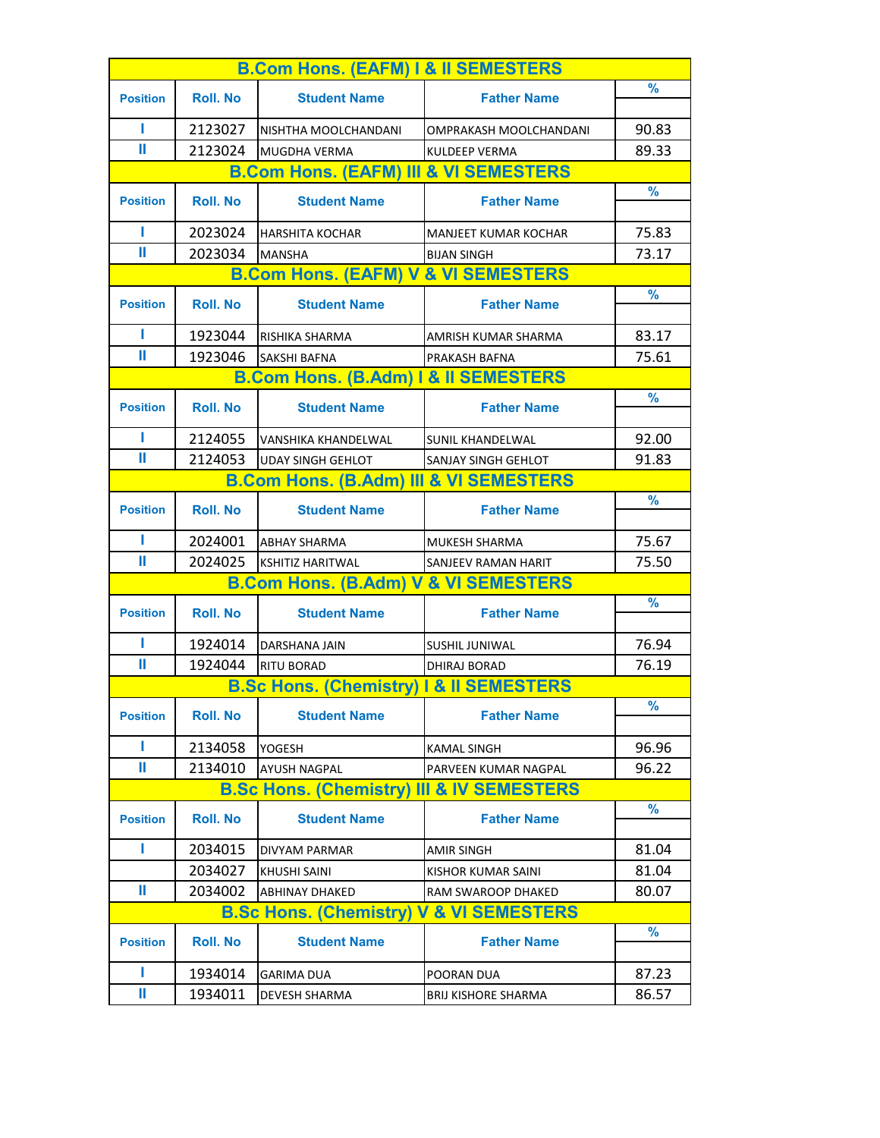|                 |                  | <b>B.Com Hons. (EAFM) I &amp; II SEMESTERS</b>       |                            |               |
|-----------------|------------------|------------------------------------------------------|----------------------------|---------------|
| <b>Position</b> | <b>Roll. No</b>  | <b>Student Name</b>                                  | <b>Father Name</b>         | $\frac{9}{6}$ |
|                 |                  |                                                      |                            |               |
| п               | 2123027          | NISHTHA MOOLCHANDANI                                 | OMPRAKASH MOOLCHANDANI     | 90.83         |
| Ш               | 2123024          | MUGDHA VERMA                                         | KULDEEP VERMA              | 89.33         |
|                 |                  | <b>B.Com Hons. (EAFM) III &amp; VI SEMESTERS</b>     |                            |               |
| <b>Position</b> | <b>Roll. No</b>  | <b>Student Name</b>                                  | <b>Father Name</b>         | $\frac{9}{6}$ |
| П               | 2023024          | <b>HARSHITA KOCHAR</b>                               | MANJEET KUMAR KOCHAR       | 75.83         |
| Ш               | 2023034          | <b>MANSHA</b>                                        | <b>BIJAN SINGH</b>         | 73.17         |
|                 |                  | <b>B.Com Hons. (EAFM) V &amp; VI SEMESTERS</b>       |                            |               |
| <b>Position</b> | <b>Roll. No</b>  | <b>Student Name</b>                                  | <b>Father Name</b>         | $\frac{9}{6}$ |
| Т               | 1923044          | RISHIKA SHARMA                                       | AMRISH KUMAR SHARMA        | 83.17         |
| Ш               | 1923046          | SAKSHI BAFNA                                         | PRAKASH BAFNA              | 75.61         |
|                 |                  | <b>B.Com Hons. (B.Adm) I &amp; II SEMESTERS</b>      |                            |               |
| <b>Position</b> | <b>Roll. No</b>  | <b>Student Name</b>                                  | <b>Father Name</b>         | $\frac{9}{6}$ |
| Т               | 2124055          | <b>IVANSHIKA KHANDELWAL</b>                          | <b>SUNIL KHANDELWAL</b>    | 92.00         |
| Ш               | 2124053          | <b>UDAY SINGH GEHLOT</b>                             | SANJAY SINGH GEHLOT        | 91.83         |
|                 |                  | <b>B.Com Hons. (B.Adm) III &amp; VI SEMESTERS</b>    |                            |               |
| <b>Position</b> | <b>Roll</b> . No | <b>Student Name</b>                                  | <b>Father Name</b>         | $\frac{9}{6}$ |
| п               | 2024001          | <b>ABHAY SHARMA</b>                                  | <b>MUKESH SHARMA</b>       | 75.67         |
| Ш               | 2024025          | <b>KSHITIZ HARITWAL</b>                              | SANJEEV RAMAN HARIT        | 75.50         |
|                 |                  | <b>B.Com Hons. (B.Adm) V &amp; VI SEMESTERS</b>      |                            |               |
|                 |                  |                                                      |                            | $\frac{9}{6}$ |
| <b>Position</b> | <b>Roll</b> . No | <b>Student Name</b>                                  | <b>Father Name</b>         |               |
| п               | 1924014          | <b>DARSHANA JAIN</b>                                 | SUSHIL JUNIWAL             | 76.94         |
| Ш               | 1924044          | <b>RITU BORAD</b>                                    | <b>DHIRAJ BORAD</b>        | 76.19         |
|                 |                  | <b>B.Sc Hons. (Chemistry) I &amp; II SEMESTERS</b>   |                            |               |
| <b>Position</b> | <b>Roll. No</b>  | <b>Student Name</b>                                  | <b>Father Name</b>         | $\frac{9}{6}$ |
| Ш               | 2134058          | <b>YOGESH</b>                                        | <b>KAMAL SINGH</b>         | 96.96         |
| Ш               | 2134010          | <b>AYUSH NAGPAL</b>                                  | PARVEEN KUMAR NAGPAL       | 96.22         |
|                 |                  | <b>B.Sc Hons. (Chemistry) III &amp; IV SEMESTERS</b> |                            |               |
| <b>Position</b> | <b>Roll. No</b>  | <b>Student Name</b>                                  | <b>Father Name</b>         | $\frac{9}{6}$ |
| Ш               | 2034015          | DIVYAM PARMAR                                        | <b>AMIR SINGH</b>          | 81.04         |
|                 | 2034027          | <b>KHUSHI SAINI</b>                                  | KISHOR KUMAR SAINI         | 81.04         |
| Ш               | 2034002          | ABHINAY DHAKED                                       | RAM SWAROOP DHAKED         | 80.07         |
|                 |                  | <b>B.Sc Hons. (Chemistry) V &amp; VI SEMESTERS</b>   |                            |               |
|                 |                  |                                                      |                            | $\frac{9}{6}$ |
| <b>Position</b> | <b>Roll. No</b>  | <b>Student Name</b>                                  | <b>Father Name</b>         |               |
| L               | 1934014          | GARIMA DUA                                           | POORAN DUA                 | 87.23         |
| Ш               | 1934011          | DEVESH SHARMA                                        | <b>BRIJ KISHORE SHARMA</b> | 86.57         |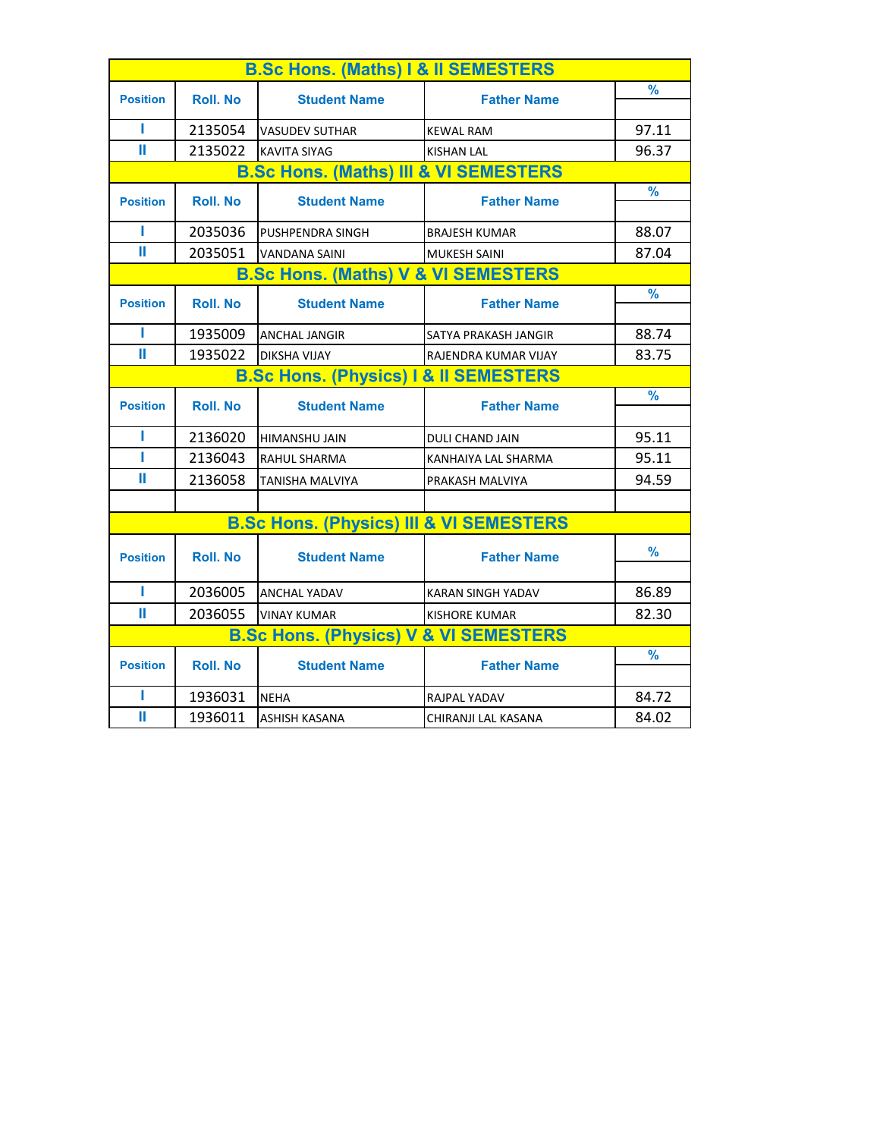| <b>B.Sc Hons. (Maths) I &amp; II SEMESTERS</b> |                                                  |                                                    |                          |               |  |
|------------------------------------------------|--------------------------------------------------|----------------------------------------------------|--------------------------|---------------|--|
| <b>Position</b>                                | <b>Roll. No</b>                                  | <b>Student Name</b>                                | <b>Father Name</b>       | $\frac{9}{6}$ |  |
|                                                |                                                  |                                                    |                          |               |  |
| П                                              | 2135054                                          | <b>VASUDEV SUTHAR</b>                              | <b>KEWAL RAM</b>         | 97.11         |  |
| Ш                                              | 2135022                                          | <b>KAVITA SIYAG</b>                                | <b>KISHAN LAL</b>        | 96.37         |  |
|                                                |                                                  | <b>B.Sc Hons. (Maths) III &amp; VI SEMESTERS</b>   |                          |               |  |
| <b>Position</b>                                | <b>Roll. No</b>                                  | <b>Student Name</b>                                | <b>Father Name</b>       | $\frac{9}{6}$ |  |
| П                                              | 2035036                                          | PUSHPENDRA SINGH                                   | <b>BRAJESH KUMAR</b>     | 88.07         |  |
| Ш                                              | 2035051                                          | <b>VANDANA SAINI</b>                               | <b>MUKESH SAINI</b>      | 87.04         |  |
| <b>B.Sc Hons. (Maths) V &amp; VI SEMESTERS</b> |                                                  |                                                    |                          |               |  |
|                                                |                                                  |                                                    |                          | $\frac{9}{6}$ |  |
| <b>Position</b>                                | <b>Roll. No</b>                                  | <b>Student Name</b>                                | <b>Father Name</b>       |               |  |
| П                                              | 1935009                                          | <b>ANCHAL JANGIR</b>                               | SATYA PRAKASH JANGIR     | 88.74         |  |
| Ш                                              | 1935022                                          | <b>DIKSHA VIJAY</b>                                | RAJENDRA KUMAR VIJAY     | 83.75         |  |
|                                                | <b>B.Sc Hons. (Physics) I &amp; II SEMESTERS</b> |                                                    |                          |               |  |
|                                                |                                                  |                                                    |                          | $\frac{9}{6}$ |  |
| <b>Position</b>                                | <b>Roll. No</b>                                  | <b>Student Name</b>                                | <b>Father Name</b>       |               |  |
| П                                              | 2136020                                          | HIMANSHU JAIN                                      | <b>DULI CHAND JAIN</b>   | 95.11         |  |
| п                                              | 2136043                                          | <b>RAHUL SHARMA</b>                                | KANHAIYA LAL SHARMA      | 95.11         |  |
| Ш                                              | 2136058                                          | TANISHA MALVIYA                                    | PRAKASH MALVIYA          | 94.59         |  |
|                                                |                                                  |                                                    |                          |               |  |
|                                                |                                                  | <b>B.Sc Hons. (Physics) III &amp; VI SEMESTERS</b> |                          |               |  |
| <b>Position</b>                                | <b>Roll</b> . No                                 | <b>Student Name</b>                                | <b>Father Name</b>       | $\frac{9}{6}$ |  |
|                                                |                                                  |                                                    |                          |               |  |
| Т                                              | 2036005                                          | <b>ANCHAL YADAV</b>                                | <b>KARAN SINGH YADAV</b> | 86.89         |  |
| Ш                                              | 2036055                                          | <b>VINAY KUMAR</b>                                 | <b>KISHORE KUMAR</b>     | 82.30         |  |
|                                                |                                                  | <b>B.Sc Hons. (Physics) V &amp; VI SEMESTERS</b>   |                          |               |  |
|                                                |                                                  | <b>Student Name</b>                                | <b>Father Name</b>       | $\frac{9}{6}$ |  |
| <b>Position</b>                                | <b>Roll. No</b>                                  |                                                    |                          |               |  |
| Ш                                              | 1936031                                          | <b>NEHA</b>                                        | RAJPAL YADAV             | 84.72         |  |
| Ш                                              | 1936011                                          | <b>ASHISH KASANA</b>                               | CHIRANJI LAL KASANA      | 84.02         |  |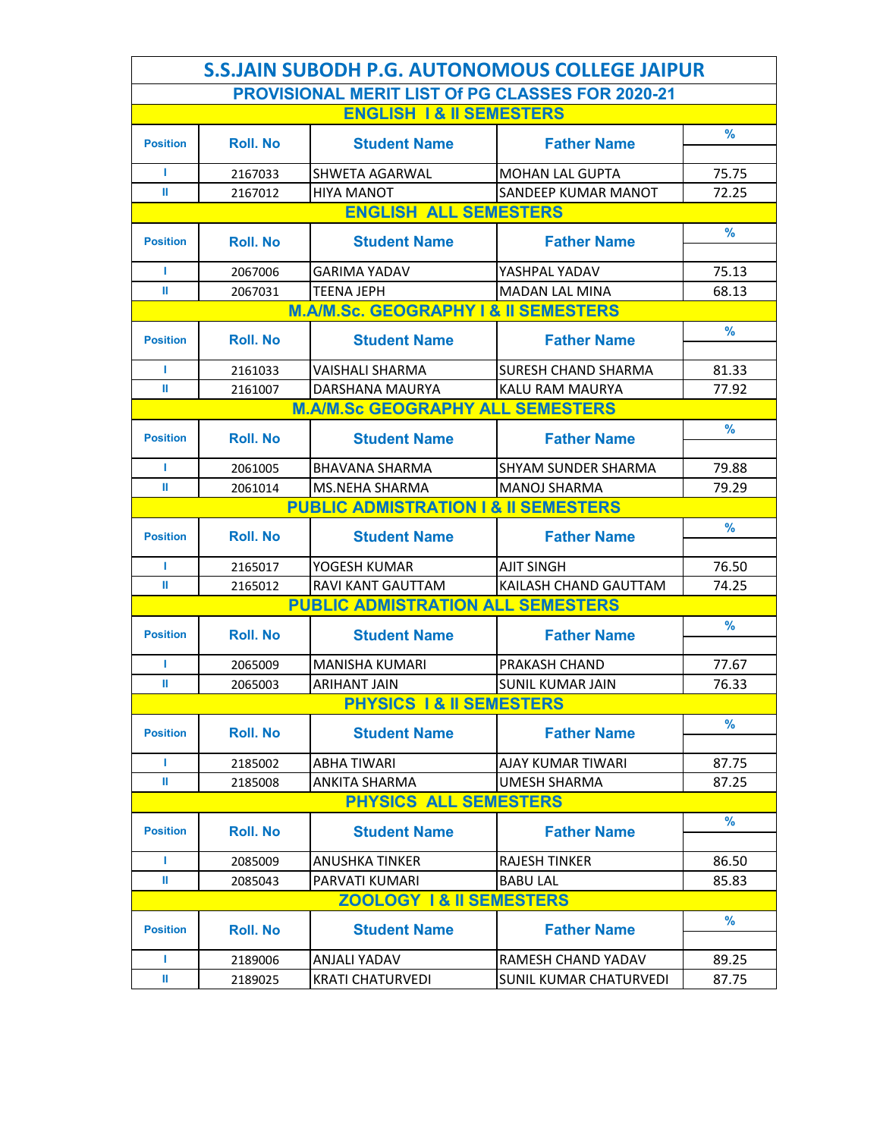|                 | <b>S.S.JAIN SUBODH P.G. AUTONOMOUS COLLEGE JAIPUR</b> |                                                         |                               |               |  |  |
|-----------------|-------------------------------------------------------|---------------------------------------------------------|-------------------------------|---------------|--|--|
|                 |                                                       | <b>PROVISIONAL MERIT LIST Of PG CLASSES FOR 2020-21</b> |                               |               |  |  |
|                 |                                                       | <b>ENGLISH 1&amp; II SEMESTERS</b>                      |                               |               |  |  |
| <b>Position</b> | <b>Roll. No</b>                                       | <b>Student Name</b>                                     | <b>Father Name</b>            | %             |  |  |
|                 |                                                       |                                                         |                               |               |  |  |
| т               | 2167033                                               | <b>SHWETA AGARWAL</b>                                   | <b>MOHAN LAL GUPTA</b>        | 75.75         |  |  |
| Ш               | 2167012                                               | <b>HIYA MANOT</b>                                       | <b>SANDEEP KUMAR MANOT</b>    | 72.25         |  |  |
|                 |                                                       | <b>ENGLISH ALL SEMESTERS</b>                            |                               |               |  |  |
| <b>Position</b> | <b>Roll</b> . No                                      | <b>Student Name</b>                                     | <b>Father Name</b>            | $\frac{9}{6}$ |  |  |
| г               | 2067006                                               | <b>GARIMA YADAV</b>                                     | YASHPAL YADAV                 | 75.13         |  |  |
| Ш               | 2067031                                               | <b>TEENA JEPH</b>                                       | <b>MADAN LAL MINA</b>         | 68.13         |  |  |
|                 |                                                       | <b>M.A/M.Sc. GEOGRAPHY I &amp; II SEMESTERS</b>         |                               |               |  |  |
| <b>Position</b> | <b>Roll. No</b>                                       | <b>Student Name</b>                                     | <b>Father Name</b>            | $\frac{9}{6}$ |  |  |
| г               | 2161033                                               | <b>VAISHALI SHARMA</b>                                  | <b>SURESH CHAND SHARMA</b>    | 81.33         |  |  |
| ш               | 2161007                                               | DARSHANA MAURYA                                         | KALU RAM MAURYA               | 77.92         |  |  |
|                 |                                                       | <b>M.A/M.Sc GEOGRAPHY ALL SEMESTERS</b>                 |                               |               |  |  |
|                 |                                                       |                                                         |                               | $\frac{9}{6}$ |  |  |
| <b>Position</b> | <b>Roll. No</b>                                       | <b>Student Name</b>                                     | <b>Father Name</b>            |               |  |  |
| L               | 2061005                                               | <b>BHAVANA SHARMA</b>                                   | <b>SHYAM SUNDER SHARMA</b>    | 79.88         |  |  |
| Ш               | 2061014                                               | <b>MS.NEHA SHARMA</b>                                   | <b>MANOJ SHARMA</b>           | 79.29         |  |  |
|                 | <b>PUBLIC ADMISTRATION I &amp; II SEMESTERS</b>       |                                                         |                               |               |  |  |
| <b>Position</b> | <b>Roll. No</b>                                       | <b>Student Name</b>                                     | <b>Father Name</b>            | $\frac{9}{6}$ |  |  |
| г               | 2165017                                               | YOGESH KUMAR                                            | <b>AJIT SINGH</b>             | 76.50         |  |  |
| ш               | 2165012                                               | RAVI KANT GAUTTAM                                       | KAILASH CHAND GAUTTAM         | 74.25         |  |  |
|                 |                                                       | <b>PUBLIC ADMISTRATION ALL SEMESTERS</b>                |                               |               |  |  |
| <b>Position</b> | <b>Roll. No</b>                                       | <b>Student Name</b>                                     | <b>Father Name</b>            | %             |  |  |
| L               | 2065009                                               | <b>MANISHA KUMARI</b>                                   | <b>PRAKASH CHAND</b>          | 77.67         |  |  |
| Ш               | 2065003                                               | <b>ARIHANT JAIN</b>                                     | <b>SUNIL KUMAR JAIN</b>       | 76.33         |  |  |
|                 |                                                       | <b>PHYSICS 1&amp; II SEMESTERS</b>                      |                               |               |  |  |
|                 |                                                       |                                                         |                               | %             |  |  |
| <b>Position</b> | <b>Roll</b> . No                                      | <b>Student Name</b>                                     | <b>Father Name</b>            |               |  |  |
| L               | 2185002                                               | <b>ABHA TIWARI</b>                                      | <b>AJAY KUMAR TIWARI</b>      | 87.75         |  |  |
| Ш               | 2185008                                               | <b>ANKITA SHARMA</b>                                    | <b>UMESH SHARMA</b>           | 87.25         |  |  |
|                 |                                                       | <b>PHYSICS ALL SEMESTERS</b>                            |                               |               |  |  |
| <b>Position</b> | <b>Roll. No</b>                                       | <b>Student Name</b>                                     | <b>Father Name</b>            | %             |  |  |
| г               | 2085009                                               | ANUSHKA TINKER                                          | <b>RAJESH TINKER</b>          | 86.50         |  |  |
| ш               | 2085043                                               | PARVATI KUMARI                                          | <b>BABU LAL</b>               | 85.83         |  |  |
|                 |                                                       | <b>ZOOLOGY 1&amp; II SEMESTERS</b>                      |                               |               |  |  |
| <b>Position</b> | <b>Roll. No</b>                                       | <b>Student Name</b>                                     | <b>Father Name</b>            | $\%$          |  |  |
| г               | 2189006                                               | <b>ANJALI YADAV</b>                                     | <b>RAMESH CHAND YADAV</b>     | 89.25         |  |  |
| Ш               | 2189025                                               | <b>KRATI CHATURVEDI</b>                                 | <b>SUNIL KUMAR CHATURVEDI</b> | 87.75         |  |  |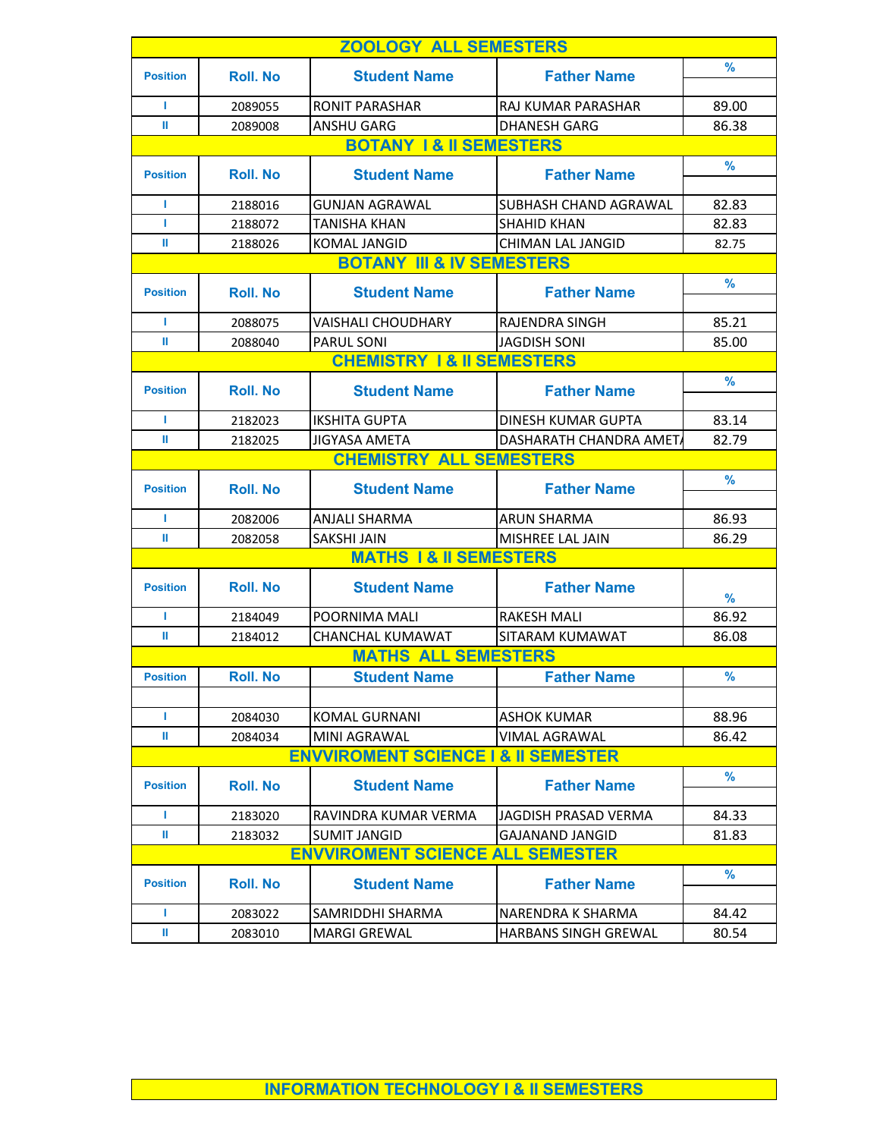|                 |                                | <b>ZOOLOGY ALL SEMESTERS</b>                   |                             |               |  |  |
|-----------------|--------------------------------|------------------------------------------------|-----------------------------|---------------|--|--|
| <b>Position</b> | <b>Roll. No</b>                |                                                | <b>Father Name</b>          | %             |  |  |
|                 |                                | <b>Student Name</b>                            |                             |               |  |  |
| г               | 2089055                        | <b>RONIT PARASHAR</b>                          | RAJ KUMAR PARASHAR          | 89.00         |  |  |
| ш               | 2089008                        | <b>ANSHU GARG</b>                              | <b>DHANESH GARG</b>         | 86.38         |  |  |
|                 |                                | <b>BOTANY 1&amp; II SEMESTERS</b>              |                             |               |  |  |
| <b>Position</b> | <b>Roll. No</b>                | <b>Student Name</b>                            | <b>Father Name</b>          | $\frac{9}{6}$ |  |  |
|                 |                                |                                                |                             |               |  |  |
| т               | 2188016                        | <b>GUNJAN AGRAWAL</b>                          | SUBHASH CHAND AGRAWAL       | 82.83         |  |  |
| г               | 2188072                        | <b>TANISHA KHAN</b>                            | <b>SHAHID KHAN</b>          | 82.83         |  |  |
| ш               | 2188026                        | <b>KOMAL JANGID</b>                            | <b>CHIMAN LAL JANGID</b>    | 82.75         |  |  |
|                 |                                | <b>BOTANY III &amp; IV SEMESTERS</b>           |                             |               |  |  |
| <b>Position</b> | <b>Roll. No</b>                | <b>Student Name</b>                            | <b>Father Name</b>          | %             |  |  |
| т               | 2088075                        | <b>VAISHALI CHOUDHARY</b>                      | <b>RAJENDRA SINGH</b>       | 85.21         |  |  |
| Ш               | 2088040                        | <b>PARUL SONI</b>                              | <b>JAGDISH SONI</b>         | 85.00         |  |  |
|                 |                                | <b>CHEMISTRY 1&amp; II SEMESTERS</b>           |                             |               |  |  |
|                 |                                |                                                |                             | %             |  |  |
| <b>Position</b> | <b>Roll. No</b>                | <b>Student Name</b>                            | <b>Father Name</b>          |               |  |  |
| т               | 2182023                        | <b>IKSHITA GUPTA</b>                           | DINESH KUMAR GUPTA          | 83.14         |  |  |
| ш               | 2182025                        | <b>JIGYASA AMETA</b>                           | DASHARATH CHANDRA AMET/     | 82.79         |  |  |
|                 | <b>CHEMISTRY ALL SEMESTERS</b> |                                                |                             |               |  |  |
| <b>Position</b> | <b>Roll. No</b>                | <b>Student Name</b>                            | <b>Father Name</b>          | %             |  |  |
| т               | 2082006                        | <b>ANJALI SHARMA</b>                           | <b>ARUN SHARMA</b>          | 86.93         |  |  |
| ш               | 2082058                        | <b>SAKSHI JAIN</b>                             | MISHREE LAL JAIN            | 86.29         |  |  |
|                 |                                | <b>MATHS 1 &amp; II SEMESTERS</b>              |                             |               |  |  |
|                 |                                |                                                |                             |               |  |  |
| <b>Position</b> | <b>Roll. No</b>                | <b>Student Name</b>                            | <b>Father Name</b>          | $\frac{9}{6}$ |  |  |
| г               | 2184049                        | POORNIMA MALI                                  | <b>RAKESH MALI</b>          | 86.92         |  |  |
| ш               | 2184012                        | <b>CHANCHAL KUMAWAT</b>                        | SITARAM KUMAWAT             | 86.08         |  |  |
|                 |                                | <b>MATHS ALL SEMESTERS</b>                     |                             |               |  |  |
| <b>Position</b> | <b>Roll. No</b>                | <b>Student Name</b>                            | <b>Father Name</b>          | %             |  |  |
|                 |                                |                                                |                             |               |  |  |
| L               | 2084030                        | <b>KOMAL GURNANI</b>                           | <b>ASHOK KUMAR</b>          | 88.96         |  |  |
| Ш               | 2084034                        | <b>MINI AGRAWAL</b>                            | <b>VIMAL AGRAWAL</b>        | 86.42         |  |  |
|                 |                                | <b>ENVVIROMENT SCIENCE I &amp; II SEMESTER</b> |                             |               |  |  |
| <b>Position</b> | <b>Roll</b> . No               | <b>Student Name</b>                            | <b>Father Name</b>          | $\frac{9}{6}$ |  |  |
| L               | 2183020                        | RAVINDRA KUMAR VERMA                           | JAGDISH PRASAD VERMA        | 84.33         |  |  |
| Ш               | 2183032                        | <b>SUMIT JANGID</b>                            | <b>GAJANAND JANGID</b>      | 81.83         |  |  |
|                 |                                | <b>ENVVIROMENT SCIENCE ALL SEMESTER</b>        |                             |               |  |  |
|                 |                                |                                                |                             | $\frac{9}{6}$ |  |  |
| <b>Position</b> | <b>Roll</b> . No               | <b>Student Name</b>                            | <b>Father Name</b>          |               |  |  |
| г               | 2083022                        | SAMRIDDHI SHARMA                               | NARENDRA K SHARMA           | 84.42         |  |  |
| Ш               | 2083010                        | <b>MARGI GREWAL</b>                            | <b>HARBANS SINGH GREWAL</b> | 80.54         |  |  |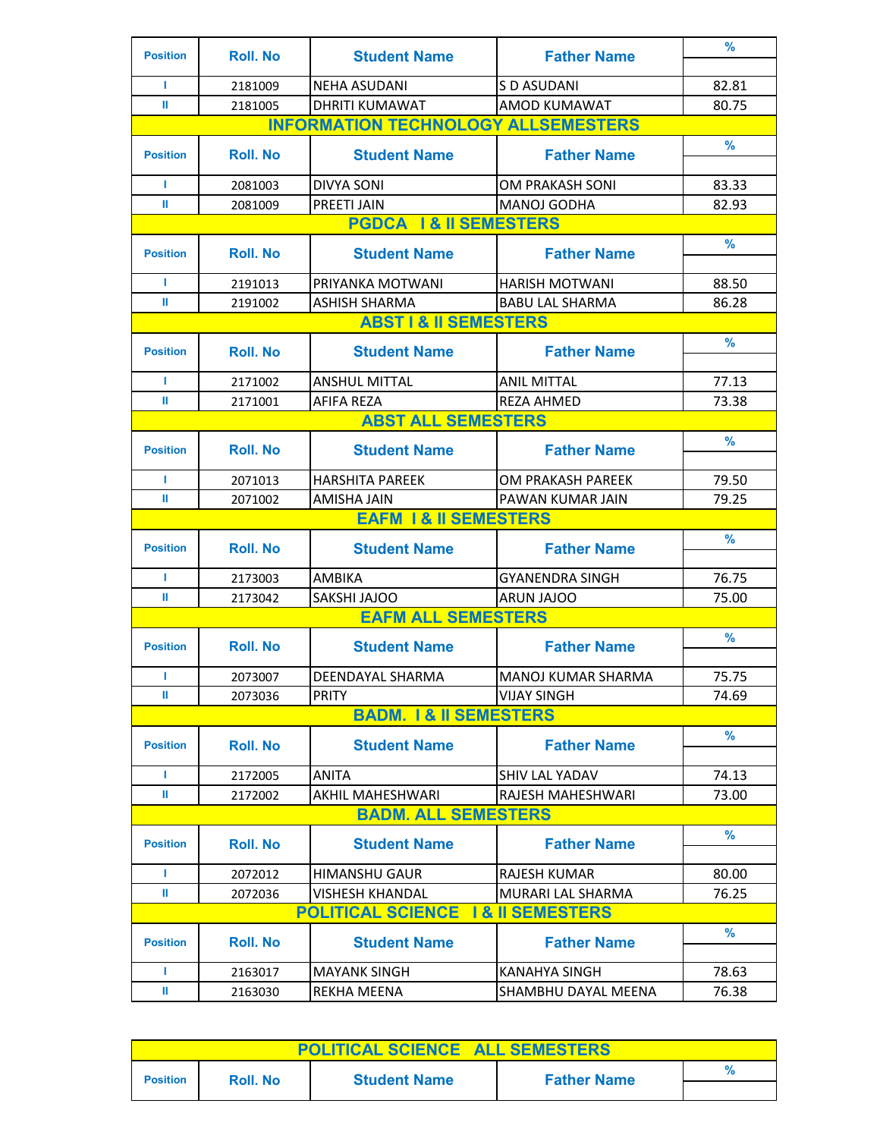| <b>Position</b> | <b>Roll. No</b>  | <b>Student Name</b>                        | <b>Father Name</b>         | $\frac{9}{6}$ |
|-----------------|------------------|--------------------------------------------|----------------------------|---------------|
| г               | 2181009          | <b>NEHA ASUDANI</b>                        | S D ASUDANI                | 82.81         |
| ш               | 2181005          | <b>DHRITI KUMAWAT</b>                      | <b>AMOD KUMAWAT</b>        | 80.75         |
|                 |                  | <b>INFORMATION TECHNOLOGY ALLSEMESTERS</b> |                            |               |
| <b>Position</b> | <b>Roll. No</b>  | <b>Student Name</b>                        | <b>Father Name</b>         | $\frac{9}{6}$ |
| г               | 2081003          | <b>DIVYA SONI</b>                          | OM PRAKASH SONI            | 83.33         |
| Ш               | 2081009          | PREETI JAIN                                | <b>MANOJ GODHA</b>         | 82.93         |
|                 |                  | <b>PGDCA 1&amp; II SEMESTERS</b>           |                            |               |
| <b>Position</b> | <b>Roll. No</b>  | <b>Student Name</b>                        | <b>Father Name</b>         | $\frac{9}{6}$ |
| г               | 2191013          | PRIYANKA MOTWANI                           | <b>HARISH MOTWANI</b>      | 88.50         |
| Ш               | 2191002          | <b>ASHISH SHARMA</b>                       | <b>BABU LAL SHARMA</b>     | 86.28         |
|                 |                  | <b>ABST I &amp; II SEMESTERS</b>           |                            |               |
| <b>Position</b> | <b>Roll</b> . No | <b>Student Name</b>                        | <b>Father Name</b>         | %             |
| г               | 2171002          | <b>ANSHUL MITTAL</b>                       | <b>ANIL MITTAL</b>         | 77.13         |
| ш               | 2171001          | <b>AFIFA RF7A</b>                          | <b>REZA AHMED</b>          | 73.38         |
|                 |                  | <b>ABST ALL SEMESTERS</b>                  |                            |               |
|                 |                  |                                            |                            | $\frac{9}{6}$ |
| <b>Position</b> | <b>Roll. No</b>  | <b>Student Name</b>                        | <b>Father Name</b>         |               |
| т               | 2071013          | <b>HARSHITA PAREEK</b>                     | OM PRAKASH PAREEK          | 79.50         |
| Ш               | 2071002          | AMISHA JAIN                                | PAWAN KUMAR JAIN           | 79.25         |
|                 |                  | <b>EAFM 1 &amp; II SEMESTERS</b>           |                            |               |
| <b>Position</b> | <b>Roll</b> . No | <b>Student Name</b>                        | <b>Father Name</b>         | $\frac{9}{6}$ |
| г               | 2173003          | <b>AMBIKA</b>                              | <b>GYANENDRA SINGH</b>     | 76.75         |
| ш               | 2173042          | SAKSHI JAJOO                               | ARUN JAJOO                 | 75.00         |
|                 |                  | <b>EAFM ALL SEMESTERS</b>                  |                            |               |
| <b>Position</b> | <b>Roll. No</b>  | <b>Student Name</b>                        | <b>Father Name</b>         | $\frac{9}{6}$ |
| T               | 2073007          | DEENDAYAL SHARMA                           | <b>MANOJ KUMAR SHARMA</b>  | 75.75         |
| Ш               | 2073036          | <b>PRITY</b>                               | <b>VIJAY SINGH</b>         | 74.69         |
|                 |                  | <b>BADM. 1&amp; II SEMESTERS</b>           |                            |               |
| <b>Position</b> | <b>Roll. No</b>  | <b>Student Name</b>                        | <b>Father Name</b>         | $\%$          |
| г               | 2172005          | <b>ANITA</b>                               | <b>SHIV LAL YADAV</b>      | 74.13         |
| Ш               | 2172002          | AKHIL MAHESHWARI                           | RAJESH MAHESHWARI          | 73.00         |
|                 |                  | <b>BADM. ALL SEMESTERS</b>                 |                            |               |
| <b>Position</b> | <b>Roll. No</b>  | <b>Student Name</b>                        | <b>Father Name</b>         | %             |
| L               | 2072012          | <b>HIMANSHU GAUR</b>                       | <b>RAJESH KUMAR</b>        | 80.00         |
| Ш               | 2072036          | <b>VISHESH KHANDAL</b>                     | MURARI LAL SHARMA          | 76.25         |
|                 |                  | <b>POLITICAL SCIENCE</b>                   | <b>1&amp; II SEMESTERS</b> |               |
| <b>Position</b> | <b>Roll</b> . No | <b>Student Name</b>                        | <b>Father Name</b>         | $\%$          |
| т               | 2163017          | <b>MAYANK SINGH</b>                        | <b>KANAHYA SINGH</b>       | 78.63         |
| Ш               | 2163030          | <b>REKHA MEENA</b>                         | SHAMBHU DAYAL MEENA        | 76.38         |

| <b>POLITICAL SCIENCE ALL SEMESTERS</b> |                  |                     |                    |  |
|----------------------------------------|------------------|---------------------|--------------------|--|
| <b>Position</b>                        | <b>Roll</b> . No | <b>Student Name</b> | <b>Father Name</b> |  |
|                                        |                  |                     |                    |  |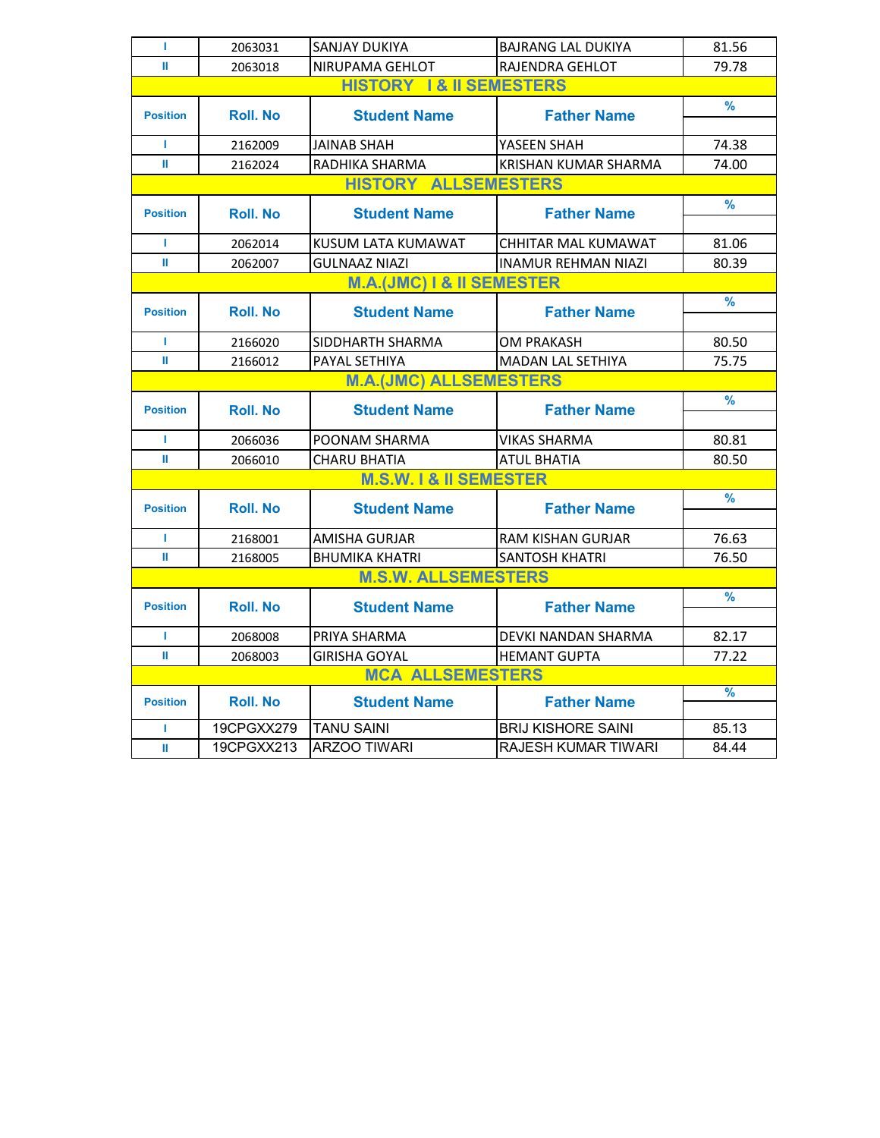| г               | 2063031                     | SANJAY DUKIYA                        | <b>BAJRANG LAL DUKIYA</b>   | 81.56         |  |  |  |
|-----------------|-----------------------------|--------------------------------------|-----------------------------|---------------|--|--|--|
| Ш               | 2063018                     | NIRUPAMA GEHLOT                      | <b>RAJENDRA GEHLOT</b>      | 79.78         |  |  |  |
|                 |                             | <b>HISTORY 1&amp; II SEMESTERS</b>   |                             |               |  |  |  |
| <b>Position</b> | <b>Roll. No</b>             | <b>Student Name</b>                  | <b>Father Name</b>          | $\frac{9}{6}$ |  |  |  |
|                 |                             |                                      |                             |               |  |  |  |
| г               | 2162009                     | <b>JAINAB SHAH</b>                   | YASEEN SHAH                 | 74.38         |  |  |  |
| Ш               | 2162024                     | RADHIKA SHARMA                       | <b>KRISHAN KUMAR SHARMA</b> | 74.00         |  |  |  |
|                 | <b>HISTORY ALLSEMESTERS</b> |                                      |                             |               |  |  |  |
| <b>Position</b> | <b>Roll. No</b>             | <b>Student Name</b>                  | <b>Father Name</b>          | $\frac{9}{6}$ |  |  |  |
|                 |                             |                                      |                             |               |  |  |  |
| г               | 2062014                     | KUSUM LATA KUMAWAT                   | CHHITAR MAL KUMAWAT         | 81.06         |  |  |  |
| ш               | 2062007                     | <b>GULNAAZ NIAZI</b>                 | <b>INAMUR REHMAN NIAZI</b>  | 80.39         |  |  |  |
|                 |                             | <b>M.A.(JMC) I &amp; II SEMESTER</b> |                             |               |  |  |  |
| <b>Position</b> | <b>Roll. No</b>             | <b>Student Name</b>                  | <b>Father Name</b>          | $\frac{9}{6}$ |  |  |  |
|                 |                             |                                      |                             |               |  |  |  |
| г               | 2166020                     | SIDDHARTH SHARMA                     | <b>OM PRAKASH</b>           | 80.50         |  |  |  |
| Ш               | 2166012                     | PAYAL SETHIYA                        | <b>MADAN LAL SETHIYA</b>    | 75.75         |  |  |  |
|                 |                             | <b>M.A.(JMC) ALLSEMESTERS</b>        |                             |               |  |  |  |
| <b>Position</b> | <b>Roll. No</b>             | <b>Student Name</b>                  | <b>Father Name</b>          | $\frac{9}{6}$ |  |  |  |
|                 |                             |                                      |                             |               |  |  |  |
| г               | 2066036                     | POONAM SHARMA                        | <b>VIKAS SHARMA</b>         | 80.81         |  |  |  |
| Ш               | 2066010                     | <b>CHARU BHATIA</b>                  | <b>ATUL BHATIA</b>          | 80.50         |  |  |  |
|                 |                             | <b>M.S.W. I &amp; II SEMESTER</b>    |                             |               |  |  |  |
| <b>Position</b> | <b>Roll. No</b>             | <b>Student Name</b>                  | <b>Father Name</b>          | %             |  |  |  |
|                 |                             |                                      |                             |               |  |  |  |
| L               | 2168001                     | AMISHA GURJAR                        | <b>RAM KISHAN GURJAR</b>    | 76.63         |  |  |  |
| ш               | 2168005                     | <b>BHUMIKA KHATRI</b>                | <b>SANTOSH KHATRI</b>       | 76.50         |  |  |  |
|                 |                             | <b>M.S.W. ALLSEMESTERS</b>           |                             |               |  |  |  |
| <b>Position</b> | <b>Roll. No</b>             | <b>Student Name</b>                  | <b>Father Name</b>          | $\frac{9}{6}$ |  |  |  |
|                 |                             |                                      |                             |               |  |  |  |
| L               | 2068008                     | PRIYA SHARMA                         | DEVKI NANDAN SHARMA         | 82.17         |  |  |  |
| Ш               | 2068003                     | <b>GIRISHA GOYAL</b>                 | <b>HEMANT GUPTA</b>         | 77.22         |  |  |  |
|                 |                             | <b>MCA ALLSEMESTERS</b>              |                             |               |  |  |  |
| <b>Position</b> | <b>Roll. No</b>             | <b>Student Name</b>                  | <b>Father Name</b>          | $\frac{9}{6}$ |  |  |  |
|                 | 19CPGXX279                  | <b>TANU SAINI</b>                    | <b>BRIJ KISHORE SAINI</b>   |               |  |  |  |
| т               |                             |                                      |                             | 85.13         |  |  |  |
| Ш               | 19CPGXX213                  | <b>ARZOO TIWARI</b>                  | <b>RAJESH KUMAR TIWARI</b>  | 84.44         |  |  |  |